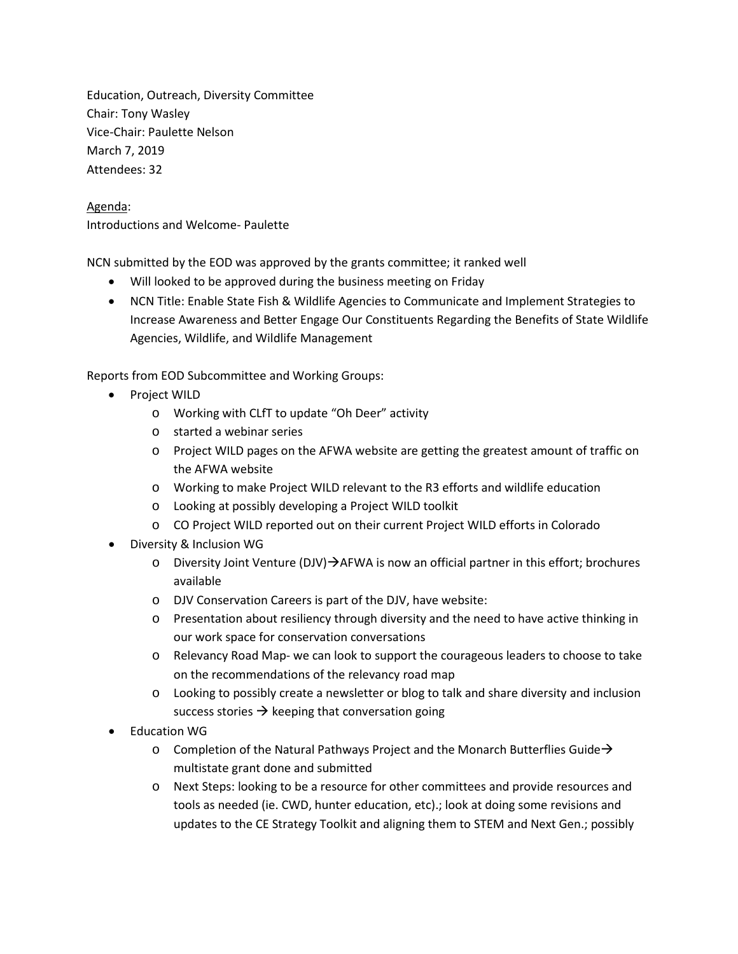Education, Outreach, Diversity Committee Chair: Tony Wasley Vice-Chair: Paulette Nelson March 7, 2019 Attendees: 32

## Agenda: Introductions and Welcome- Paulette

NCN submitted by the EOD was approved by the grants committee; it ranked well

- Will looked to be approved during the business meeting on Friday
- NCN Title: Enable State Fish & Wildlife Agencies to Communicate and Implement Strategies to Increase Awareness and Better Engage Our Constituents Regarding the Benefits of State Wildlife Agencies, Wildlife, and Wildlife Management

Reports from EOD Subcommittee and Working Groups:

- Project WILD
	- o Working with CLfT to update "Oh Deer" activity
	- o started a webinar series
	- o Project WILD pages on the AFWA website are getting the greatest amount of traffic on the AFWA website
	- o Working to make Project WILD relevant to the R3 efforts and wildlife education
	- o Looking at possibly developing a Project WILD toolkit
	- o CO Project WILD reported out on their current Project WILD efforts in Colorado
- Diversity & Inclusion WG
	- $\circ$  Diversity Joint Venture (DJV) $\rightarrow$ AFWA is now an official partner in this effort; brochures available
	- o DJV Conservation Careers is part of the DJV, have website:
	- o Presentation about resiliency through diversity and the need to have active thinking in our work space for conservation conversations
	- o Relevancy Road Map- we can look to support the courageous leaders to choose to take on the recommendations of the relevancy road map
	- o Looking to possibly create a newsletter or blog to talk and share diversity and inclusion success stories  $\rightarrow$  keeping that conversation going
- Education WG
	- $\circ$  Completion of the Natural Pathways Project and the Monarch Butterflies Guide  $\rightarrow$ multistate grant done and submitted
	- o Next Steps: looking to be a resource for other committees and provide resources and tools as needed (ie. CWD, hunter education, etc).; look at doing some revisions and updates to the CE Strategy Toolkit and aligning them to STEM and Next Gen.; possibly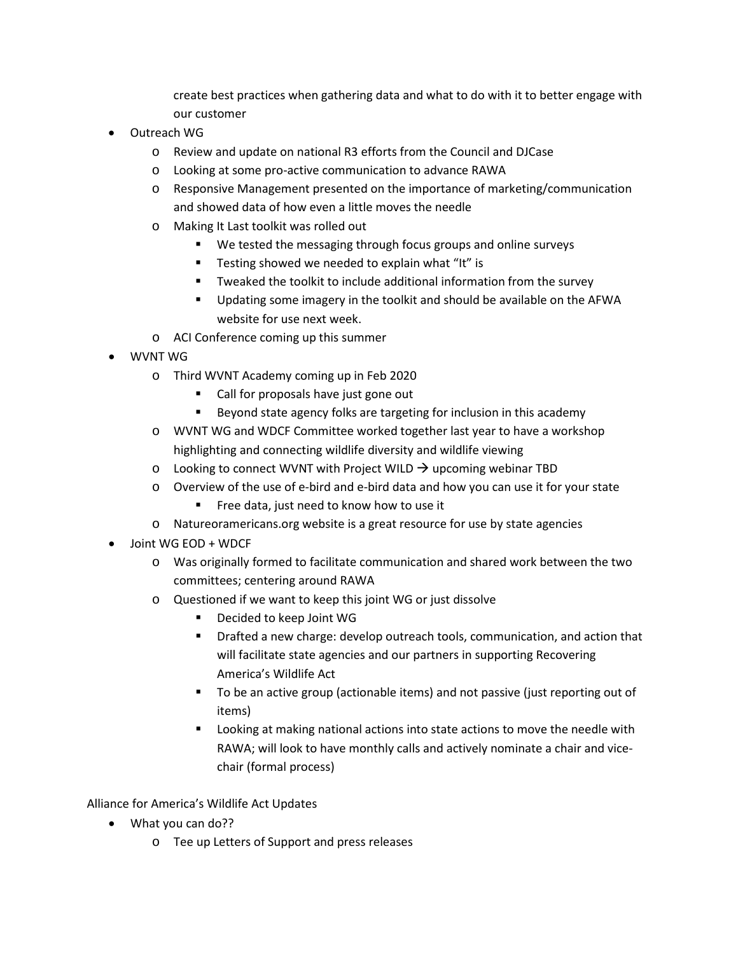create best practices when gathering data and what to do with it to better engage with our customer

- Outreach WG
	- o Review and update on national R3 efforts from the Council and DJCase
	- o Looking at some pro-active communication to advance RAWA
	- o Responsive Management presented on the importance of marketing/communication and showed data of how even a little moves the needle
	- o Making It Last toolkit was rolled out
		- We tested the messaging through focus groups and online surveys
		- **Testing showed we needed to explain what "It" is**
		- Tweaked the toolkit to include additional information from the survey
		- Updating some imagery in the toolkit and should be available on the AFWA website for use next week.
	- o ACI Conference coming up this summer
- WVNT WG
	- o Third WVNT Academy coming up in Feb 2020
		- Call for proposals have just gone out
		- Beyond state agency folks are targeting for inclusion in this academy
	- o WVNT WG and WDCF Committee worked together last year to have a workshop highlighting and connecting wildlife diversity and wildlife viewing
	- $\circ$  Looking to connect WVNT with Project WILD  $\rightarrow$  upcoming webinar TBD
	- o Overview of the use of e-bird and e-bird data and how you can use it for your state
		- **Free data, just need to know how to use it**
	- o Natureoramericans.org website is a great resource for use by state agencies
- Joint WG EOD + WDCF
	- o Was originally formed to facilitate communication and shared work between the two committees; centering around RAWA
	- o Questioned if we want to keep this joint WG or just dissolve
		- Decided to keep Joint WG
		- **P** Drafted a new charge: develop outreach tools, communication, and action that will facilitate state agencies and our partners in supporting Recovering America's Wildlife Act
		- To be an active group (actionable items) and not passive (just reporting out of items)
		- **EXTE:** Looking at making national actions into state actions to move the needle with RAWA; will look to have monthly calls and actively nominate a chair and vicechair (formal process)

Alliance for America's Wildlife Act Updates

- What you can do??
	- o Tee up Letters of Support and press releases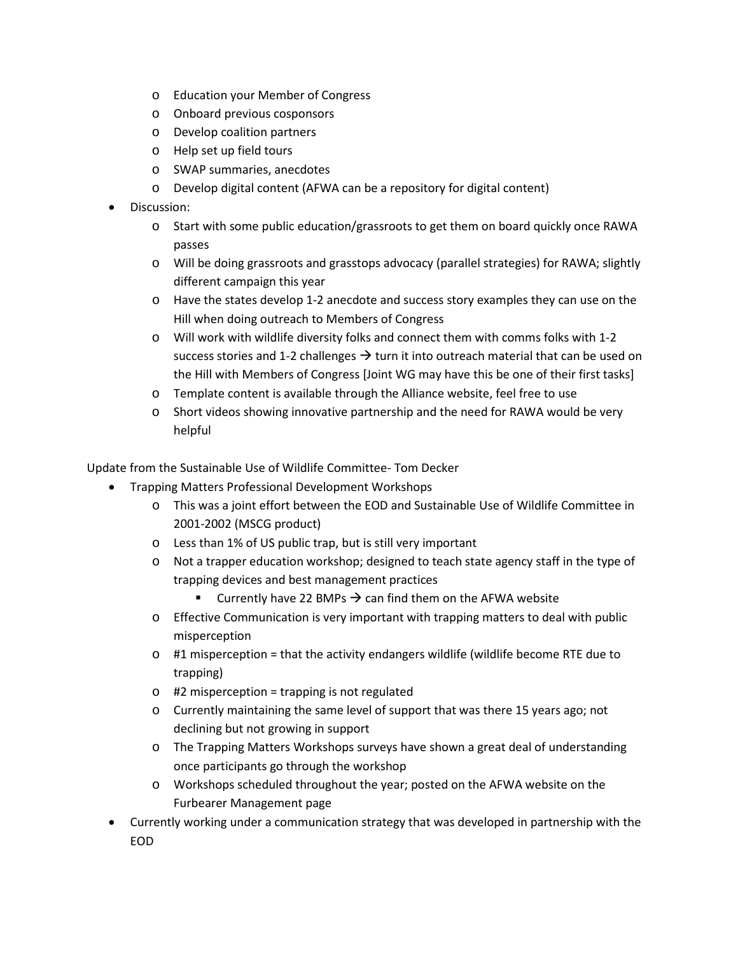- o Education your Member of Congress
- o Onboard previous cosponsors
- o Develop coalition partners
- o Help set up field tours
- o SWAP summaries, anecdotes
- o Develop digital content (AFWA can be a repository for digital content)
- Discussion:
	- o Start with some public education/grassroots to get them on board quickly once RAWA passes
	- o Will be doing grassroots and grasstops advocacy (parallel strategies) for RAWA; slightly different campaign this year
	- o Have the states develop 1-2 anecdote and success story examples they can use on the Hill when doing outreach to Members of Congress
	- o Will work with wildlife diversity folks and connect them with comms folks with 1-2 success stories and 1-2 challenges  $\rightarrow$  turn it into outreach material that can be used on the Hill with Members of Congress [Joint WG may have this be one of their first tasks]
	- o Template content is available through the Alliance website, feel free to use
	- o Short videos showing innovative partnership and the need for RAWA would be very helpful

Update from the Sustainable Use of Wildlife Committee- Tom Decker

- Trapping Matters Professional Development Workshops
	- o This was a joint effort between the EOD and Sustainable Use of Wildlife Committee in 2001-2002 (MSCG product)
	- o Less than 1% of US public trap, but is still very important
	- o Not a trapper education workshop; designed to teach state agency staff in the type of trapping devices and best management practices
		- **Currently have 22 BMPs**  $\rightarrow$  **can find them on the AFWA website**
	- o Effective Communication is very important with trapping matters to deal with public misperception
	- $\circ$  #1 misperception = that the activity endangers wildlife (wildlife become RTE due to trapping)
	- $\circ$  #2 misperception = trapping is not regulated
	- o Currently maintaining the same level of support that was there 15 years ago; not declining but not growing in support
	- o The Trapping Matters Workshops surveys have shown a great deal of understanding once participants go through the workshop
	- o Workshops scheduled throughout the year; posted on the AFWA website on the Furbearer Management page
- Currently working under a communication strategy that was developed in partnership with the EOD